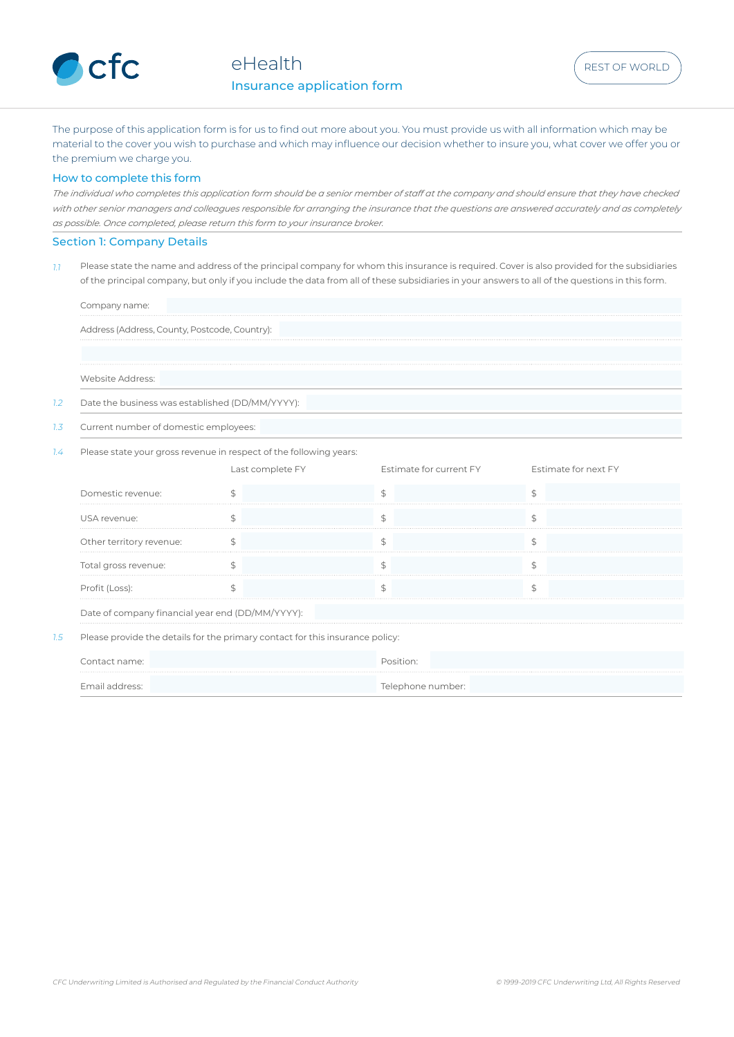

The purpose of this application form is for us to find out more about you. You must provide us with all information which may be material to the cover you wish to purchase and which may influence our decision whether to insure you, what cover we offer you or the premium we charge you.

### How to complete this form

*The individual who completes this application form should be a senior member of staff at the company and should ensure that they have checked*  with other senior managers and colleagues responsible for arranging the insurance that the questions are answered accurately and as completely *as possible. Once completed, please return this form to your insurance broker.* 

## Section 1: Company Details

 $11$  Please state the name and address of the principal company for whom this insurance is required. Cover is also provided for the subsidiaries of the principal company, but only if you include the data from all of these subsidiaries in your answers to all of the questions in this form.

| Company name:    |                                                                    |                         |                      |
|------------------|--------------------------------------------------------------------|-------------------------|----------------------|
|                  | Address (Address, County, Postcode, Country):                      |                         |                      |
|                  |                                                                    |                         |                      |
|                  |                                                                    |                         |                      |
| Website Address: |                                                                    |                         |                      |
|                  | Date the business was established (DD/MM/YYYY):                    |                         |                      |
|                  | Current number of domestic employees:                              |                         |                      |
|                  | Please state your gross revenue in respect of the following years: |                         |                      |
|                  | Last complete FY                                                   | Estimate for current FY | Estimate for next FY |

| Domestic revenue:                                |  |  |
|--------------------------------------------------|--|--|
| USA revenue:                                     |  |  |
| Other territory revenue:                         |  |  |
| Total gross revenue:                             |  |  |
| Profit (Loss):                                   |  |  |
| Date of company financial year end (DD/MM/YYYY): |  |  |

1.5 Please provide the details for the primary contact for this insurance policy:

|  | Telenhone ni | umber: |
|--|--------------|--------|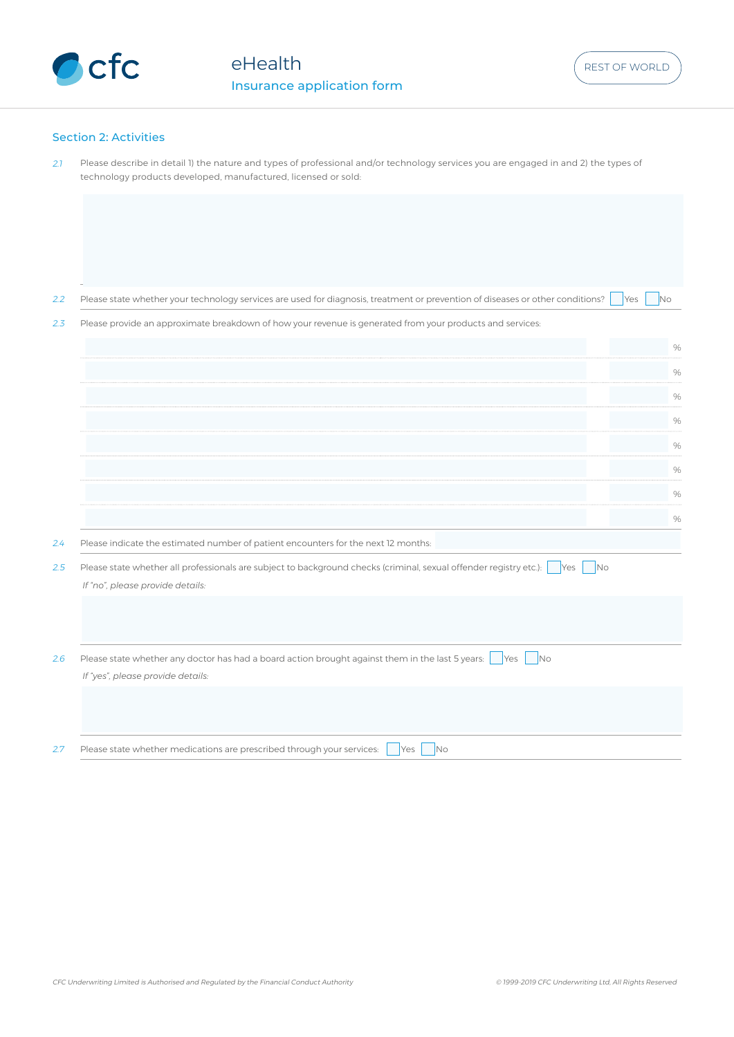

## Section 2: Activities

| 2.1 | Please describe in detail 1) the nature and types of professional and/or technology services you are engaged in and 2) the types of<br>technology products developed, manufactured, licensed or sold: |      |
|-----|-------------------------------------------------------------------------------------------------------------------------------------------------------------------------------------------------------|------|
|     |                                                                                                                                                                                                       |      |
|     |                                                                                                                                                                                                       |      |
| 2.2 | Please state whether your technology services are used for diagnosis, treatment or prevention of diseases or other conditions?<br>No<br><b>Yes</b>                                                    |      |
| 2.3 | Please provide an approximate breakdown of how your revenue is generated from your products and services:                                                                                             |      |
|     |                                                                                                                                                                                                       | $\%$ |
|     |                                                                                                                                                                                                       | $\%$ |
|     |                                                                                                                                                                                                       | $\%$ |
|     |                                                                                                                                                                                                       | %    |
|     |                                                                                                                                                                                                       | $\%$ |
|     |                                                                                                                                                                                                       | $\%$ |
|     |                                                                                                                                                                                                       | %    |
|     |                                                                                                                                                                                                       |      |
|     |                                                                                                                                                                                                       | %    |
| 2.4 | Please indicate the estimated number of patient encounters for the next 12 months:                                                                                                                    |      |
| 2.5 | Please state whether all professionals are subject to background checks (criminal, sexual offender registry etc.):<br>No<br><b>Yes</b><br>If "no", please provide details:                            |      |
|     |                                                                                                                                                                                                       |      |
| 2.6 | Please state whether any doctor has had a board action brought against them in the last 5 years:<br><b>Yes</b><br><b>No</b><br>If "yes", please provide details:                                      |      |
|     |                                                                                                                                                                                                       |      |
| 2.7 | Please state whether medications are prescribed through your services:<br>N <sub>o</sub><br>Yes                                                                                                       |      |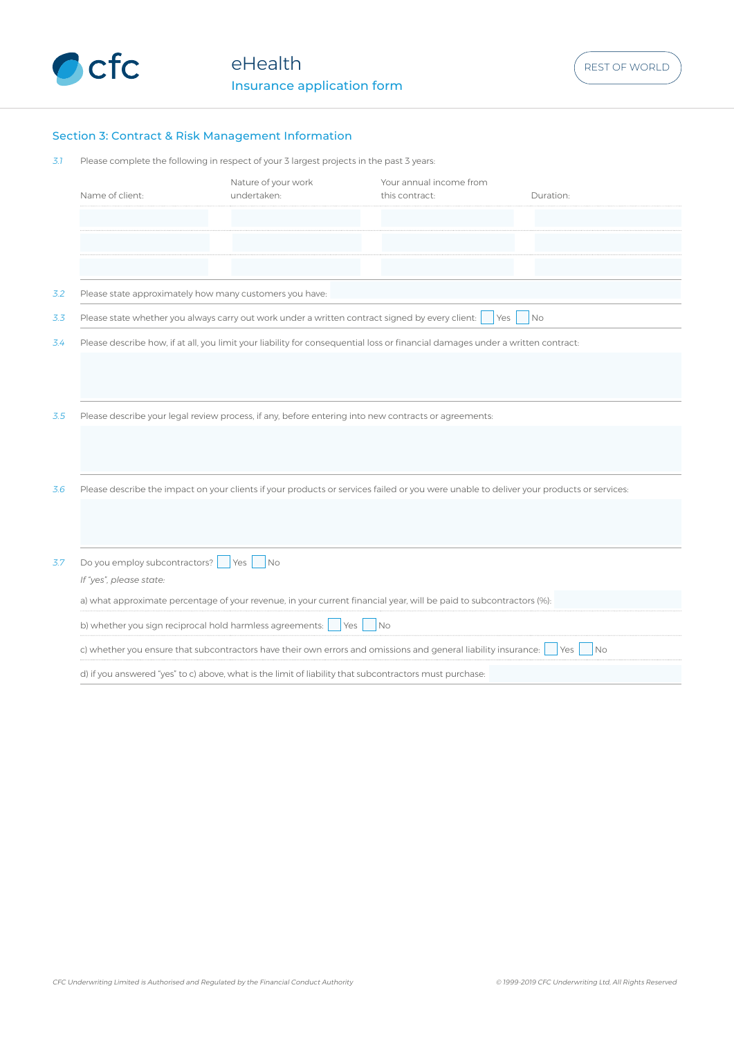

# Section 3: Contract & Risk Management Information

| Please complete the following in respect of your 3 largest projects in the past 3 years: |  |  |  |
|------------------------------------------------------------------------------------------|--|--|--|
|                                                                                          |  |  |  |

|     | Name of client:                                         | Nature of your work<br>undertaken:                                                              | Your annual income from<br>this contract:                                                                                               | Duration:        |
|-----|---------------------------------------------------------|-------------------------------------------------------------------------------------------------|-----------------------------------------------------------------------------------------------------------------------------------------|------------------|
|     |                                                         |                                                                                                 |                                                                                                                                         |                  |
|     |                                                         |                                                                                                 |                                                                                                                                         |                  |
|     |                                                         |                                                                                                 |                                                                                                                                         |                  |
| 3.2 | Please state approximately how many customers you have: |                                                                                                 |                                                                                                                                         |                  |
| 3.3 |                                                         | Please state whether you always carry out work under a written contract signed by every client: | Yes                                                                                                                                     | N <sub>O</sub>   |
| 3.4 |                                                         |                                                                                                 | Please describe how, if at all, you limit your liability for consequential loss or financial damages under a written contract:          |                  |
|     |                                                         |                                                                                                 |                                                                                                                                         |                  |
|     |                                                         |                                                                                                 |                                                                                                                                         |                  |
|     |                                                         |                                                                                                 |                                                                                                                                         |                  |
| 3.5 |                                                         |                                                                                                 | Please describe your legal review process, if any, before entering into new contracts or agreements:                                    |                  |
|     |                                                         |                                                                                                 |                                                                                                                                         |                  |
|     |                                                         |                                                                                                 |                                                                                                                                         |                  |
|     |                                                         |                                                                                                 |                                                                                                                                         |                  |
| 3.6 |                                                         |                                                                                                 | Please describe the impact on your clients if your products or services failed or you were unable to deliver your products or services: |                  |
|     |                                                         |                                                                                                 |                                                                                                                                         |                  |
|     |                                                         |                                                                                                 |                                                                                                                                         |                  |
|     |                                                         |                                                                                                 |                                                                                                                                         |                  |
| 3.7 | Do you employ subcontractors?                           | <b>Yes</b><br><b>No</b>                                                                         |                                                                                                                                         |                  |
|     | If "yes", please state:                                 |                                                                                                 |                                                                                                                                         |                  |
|     |                                                         |                                                                                                 | a) what approximate percentage of your revenue, in your current financial year, will be paid to subcontractors (%):                     |                  |
|     |                                                         |                                                                                                 |                                                                                                                                         |                  |
|     |                                                         |                                                                                                 | c) whether you ensure that subcontractors have their own errors and omissions and general liability insurance:                          | <b>Yes</b><br>No |
|     |                                                         |                                                                                                 | d) if you answered "yes" to c) above, what is the limit of liability that subcontractors must purchase:                                 |                  |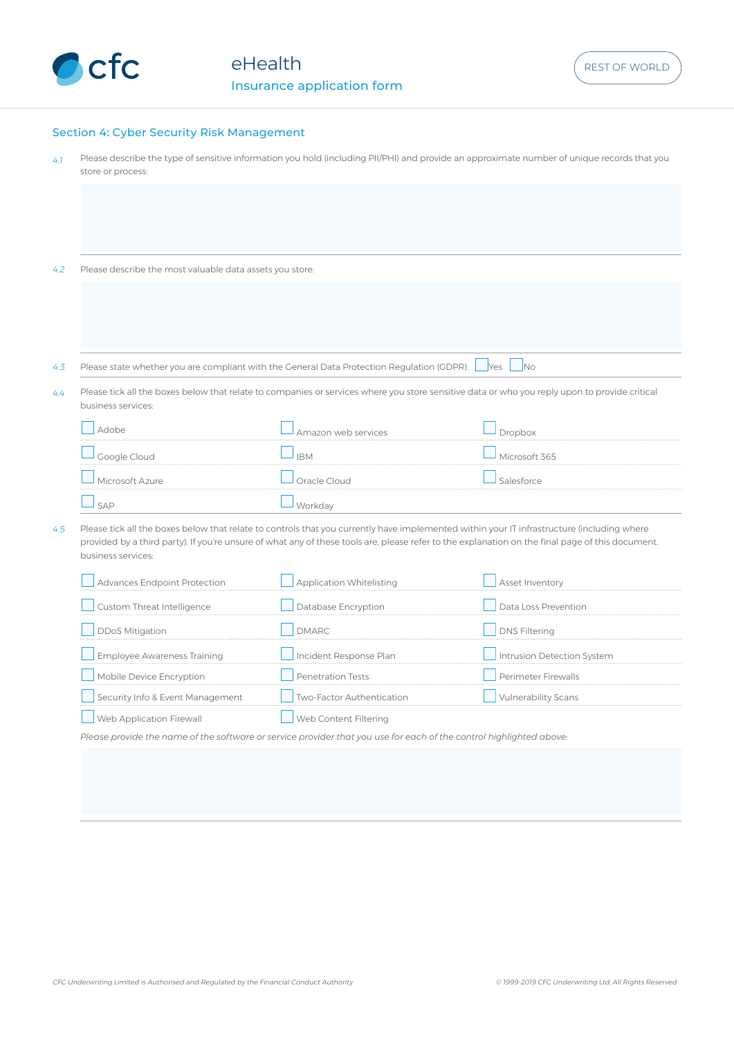

## Section 4: Cyber Security Risk Management

4.1 Please describe the type of sensitive information you hold (including PII/PHI) and provide an approximate number of unique records that you store or process:

4.2 Please describe the most valuable data assets you store:

4.3 Please state whether you are compliant with the General Data Protection Regulation (GDPR): Ves No

4.4 Please tick all the boxes below that relate to companies or services where you store sensitive data or who you reply upon to provide critical business services:

|       | Amazon web services |               |
|-------|---------------------|---------------|
|       | <b>IRM</b>          | Microsoft 365 |
| Azure |                     |               |
|       |                     |               |

4.5 Please tick all the boxes below that relate to controls that you currently have implemented within your IT infrastructure (including where provided by a third party). If you're unsure of what any of these tools are, please refer to the explanation on the final page of this document. business services:

| <b>Advances Endpoint Protection</b> | Application Whitelisting  | Asset Inventory            |
|-------------------------------------|---------------------------|----------------------------|
| Custom Threat Intelligence          | Database Encryption       | Data Loss Prevention       |
| <b>DDoS Mitigation</b>              | NMARC                     | <b>DNS Filtering</b>       |
| <b>Employee Awareness Training</b>  | Incident Response Plan    | Intrusion Detection System |
| Mobile Device Encryption            | <b>Penetration Tests</b>  | Perimeter Firewalls        |
| Security Info & Event Management    | Two-Factor Authentication | <b>Vulnerability Scans</b> |
| Web Application Firewall            | Web Content Filtering     |                            |

*Please provide the name of the software or service provider that you use for each of the control highlighted above:*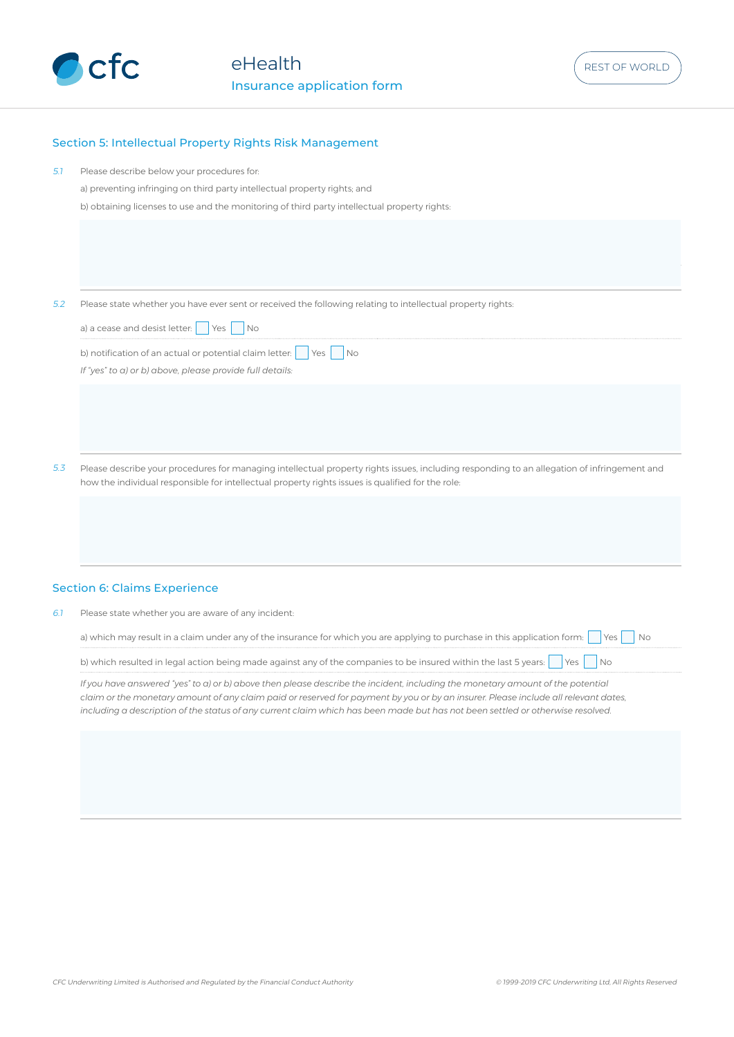

# Section 5: Intellectual Property Rights Risk Management

| 5.1 | Please describe below your procedures for:<br>a) preventing infringing on third party intellectual property rights; and<br>b) obtaining licenses to use and the monitoring of third party intellectual property rights:                                                                                                                                                                                |
|-----|--------------------------------------------------------------------------------------------------------------------------------------------------------------------------------------------------------------------------------------------------------------------------------------------------------------------------------------------------------------------------------------------------------|
|     |                                                                                                                                                                                                                                                                                                                                                                                                        |
| 5.2 | Please state whether you have ever sent or received the following relating to intellectual property rights:                                                                                                                                                                                                                                                                                            |
|     | a) a cease and desist letter:<br>Yes<br>No                                                                                                                                                                                                                                                                                                                                                             |
|     | b) notification of an actual or potential claim letter:<br>No<br>Yes<br>If "yes" to a) or b) above, please provide full details:                                                                                                                                                                                                                                                                       |
|     |                                                                                                                                                                                                                                                                                                                                                                                                        |
|     |                                                                                                                                                                                                                                                                                                                                                                                                        |
| 5.3 | Please describe your procedures for managing intellectual property rights issues, including responding to an allegation of infringement and<br>how the individual responsible for intellectual property rights issues is qualified for the role:                                                                                                                                                       |
|     |                                                                                                                                                                                                                                                                                                                                                                                                        |
|     |                                                                                                                                                                                                                                                                                                                                                                                                        |
|     | <b>Section 6: Claims Experience</b>                                                                                                                                                                                                                                                                                                                                                                    |
| 6.1 | Please state whether you are aware of any incident:                                                                                                                                                                                                                                                                                                                                                    |
|     | a) which may result in a claim under any of the insurance for which you are applying to purchase in this application form:<br><b>No</b><br>Yes                                                                                                                                                                                                                                                         |
|     | b) which resulted in legal action being made against any of the companies to be insured within the last 5 years:<br>Yes<br>No                                                                                                                                                                                                                                                                          |
|     | If you have answered "yes" to a) or b) above then please describe the incident, including the monetary amount of the potential<br>claim or the monetary amount of any claim paid or reserved for payment by you or by an insurer. Please include all relevant dates,<br>including a description of the status of any current claim which has been made but has not been settled or otherwise resolved. |
|     |                                                                                                                                                                                                                                                                                                                                                                                                        |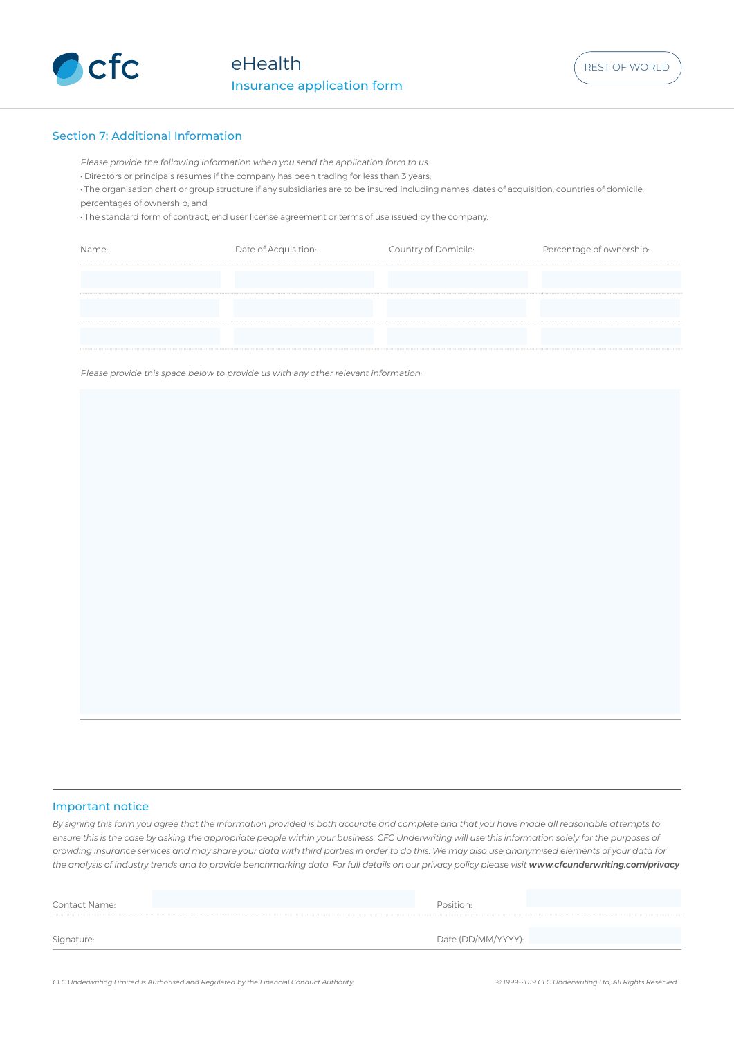

## Section 7: Additional Information

Please provide the following information when you send the application form to us.

• Directors or principals resumes if the company has been trading for less than 3 years;

• The organisation chart or group structure if any subsidiaries are to be insured including names, dates of acquisition, countries of domicile, percentages of ownership; and

• The standard form of contract, end user license agreement or terms of use issued by the company.

| Name· | Date of Acquisition: | Country of Domicile: | Percentage of ownership: |
|-------|----------------------|----------------------|--------------------------|
|       |                      |                      |                          |
|       |                      |                      |                          |
|       |                      |                      |                          |
|       |                      |                      |                          |
|       |                      |                      |                          |
|       |                      |                      |                          |

Please provide this space below to provide us with any other relevant information:

### Important notice

*By signing this form you agree that the information provided is both accurate and complete and that you have made all reasonable attempts to ensure this is the case by asking the appropriate people within your business. CFC Underwriting will use this information solely for the purposes of providing insurance services and may share your data with third parties in order to do this. We may also use anonymised elements of your data for*  the analysis of industry trends and to provide benchmarking data. For full details on our privacy policy please visit www.cfcunderwriting.com/privacy

| Signature:    | Date (DD/MM/YYYY): |  |
|---------------|--------------------|--|
|               |                    |  |
|               |                    |  |
| Contact Name: | Position:          |  |